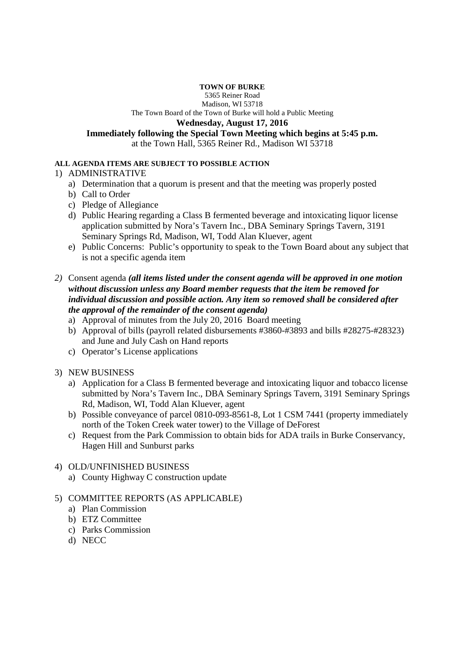#### **TOWN OF BURKE**

5365 Reiner Road

Madison, WI 53718 The Town Board of the Town of Burke will hold a Public Meeting

# **Wednesday, August 17, 2016**

**Immediately following the Special Town Meeting which begins at 5:45 p.m.** 

at the Town Hall, 5365 Reiner Rd., Madison WI 53718

#### **ALL AGENDA ITEMS ARE SUBJECT TO POSSIBLE ACTION**

### 1) ADMINISTRATIVE

- a) Determination that a quorum is present and that the meeting was properly posted
- b) Call to Order
- c) Pledge of Allegiance
- d) Public Hearing regarding a Class B fermented beverage and intoxicating liquor license application submitted by Nora's Tavern Inc., DBA Seminary Springs Tavern, 3191 Seminary Springs Rd, Madison, WI, Todd Alan Kluever, agent
- e) Public Concerns: Public's opportunity to speak to the Town Board about any subject that is not a specific agenda item

### *2)* Consent agenda *(all items listed under the consent agenda will be approved in one motion without discussion unless any Board member requests that the item be removed for individual discussion and possible action. Any item so removed shall be considered after the approval of the remainder of the consent agenda)*

- a) Approval of minutes from the July 20, 2016 Board meeting
- b) Approval of bills (payroll related disbursements #3860-#3893 and bills #28275-#28323) and June and July Cash on Hand reports
- c) Operator's License applications

# 3) NEW BUSINESS

- a) Application for a Class B fermented beverage and intoxicating liquor and tobacco license submitted by Nora's Tavern Inc., DBA Seminary Springs Tavern, 3191 Seminary Springs Rd, Madison, WI, Todd Alan Kluever, agent
- b) Possible conveyance of parcel 0810-093-8561-8, Lot 1 CSM 7441 (property immediately north of the Token Creek water tower) to the Village of DeForest
- c) Request from the Park Commission to obtain bids for ADA trails in Burke Conservancy, Hagen Hill and Sunburst parks

# 4) OLD/UNFINISHED BUSINESS

a) County Highway C construction update

# 5) COMMITTEE REPORTS (AS APPLICABLE)

- a) Plan Commission
- b) ETZ Committee
- c) Parks Commission
- d) NECC